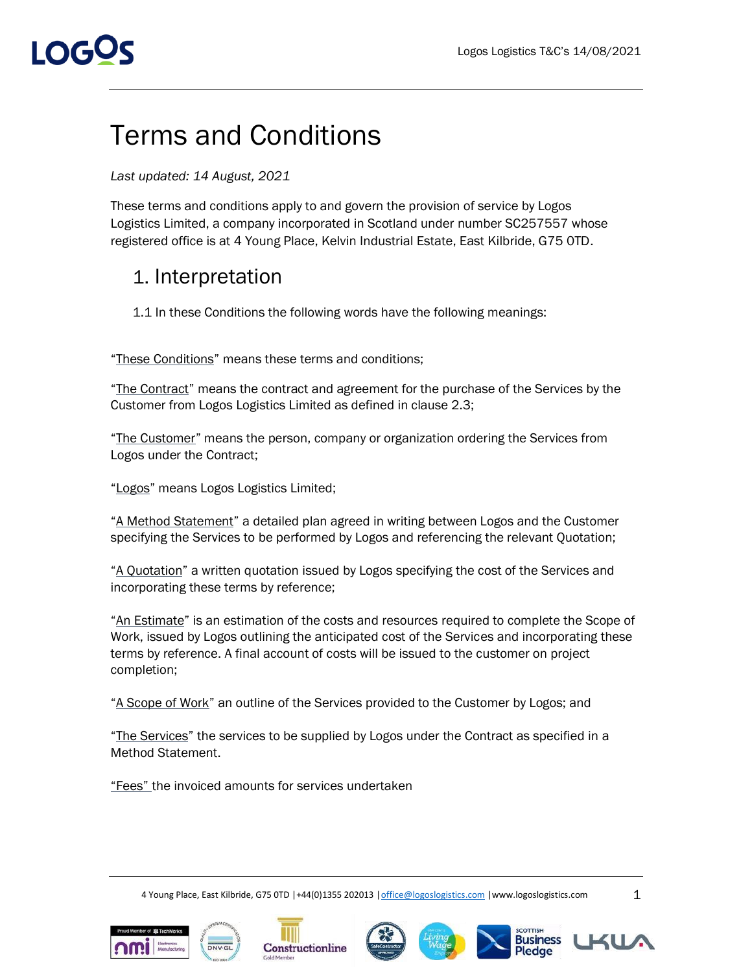# I OGOS

### Terms and Conditions

#### *Last updated: 14 August, 2021*

These terms and conditions apply to and govern the provision of service by Logos Logistics Limited, a company incorporated in Scotland under number SC257557 whose registered office is at 4 Young Place, Kelvin Industrial Estate, East Kilbride, G75 0TD.

### 1. Interpretation

1.1 In these Conditions the following words have the following meanings:

"These Conditions" means these terms and conditions;

"The Contract" means the contract and agreement for the purchase of the Services by the Customer from Logos Logistics Limited as defined in clause 2.3;

"The Customer" means the person, company or organization ordering the Services from Logos under the Contract;

"Logos" means Logos Logistics Limited;

"A Method Statement" a detailed plan agreed in writing between Logos and the Customer specifying the Services to be performed by Logos and referencing the relevant Quotation;

"A Quotation" a written quotation issued by Logos specifying the cost of the Services and incorporating these terms by reference;

"An Estimate" is an estimation of the costs and resources required to complete the Scope of Work, issued by Logos outlining the anticipated cost of the Services and incorporating these terms by reference. A final account of costs will be issued to the customer on project completion;

"A Scope of Work" an outline of the Services provided to the Customer by Logos; and

"The Services" the services to be supplied by Logos under the Contract as specified in a Method Statement.

"Fees" the invoiced amounts for services undertaken

4 Young Place, East Kilbride, G75 0TD |+44(0)1355 202013 |office@logoslogistics.com |www.logoslogistics.com 1





Constructionline









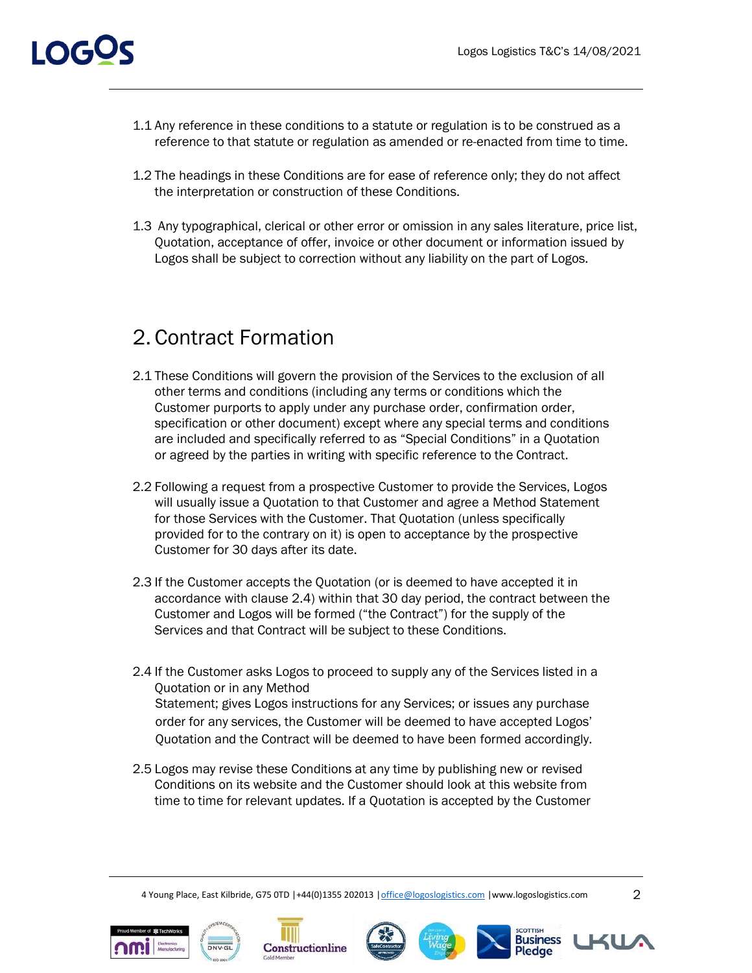- 1.1 Any reference in these conditions to a statute or regulation is to be construed as a reference to that statute or regulation as amended or re-enacted from time to time.
- 1.2 The headings in these Conditions are for ease of reference only; they do not affect the interpretation or construction of these Conditions.
- 1.3 Any typographical, clerical or other error or omission in any sales literature, price list, Quotation, acceptance of offer, invoice or other document or information issued by Logos shall be subject to correction without any liability on the part of Logos.

### 2. Contract Formation

- 2.1 These Conditions will govern the provision of the Services to the exclusion of all other terms and conditions (including any terms or conditions which the Customer purports to apply under any purchase order, confirmation order, specification or other document) except where any special terms and conditions are included and specifically referred to as "Special Conditions" in a Quotation or agreed by the parties in writing with specific reference to the Contract.
- 2.2 Following a request from a prospective Customer to provide the Services, Logos will usually issue a Quotation to that Customer and agree a Method Statement for those Services with the Customer. That Quotation (unless specifically provided for to the contrary on it) is open to acceptance by the prospective Customer for 30 days after its date.
- 2.3 If the Customer accepts the Quotation (or is deemed to have accepted it in accordance with clause 2.4) within that 30 day period, the contract between the Customer and Logos will be formed ("the Contract") for the supply of the Services and that Contract will be subject to these Conditions.
- 2.4 If the Customer asks Logos to proceed to supply any of the Services listed in a Quotation or in any Method Statement; gives Logos instructions for any Services; or issues any purchase order for any services, the Customer will be deemed to have accepted Logos' Quotation and the Contract will be deemed to have been formed accordingly.
- 2.5 Logos may revise these Conditions at any time by publishing new or revised Conditions on its website and the Customer should look at this website from time to time for relevant updates. If a Quotation is accepted by the Customer













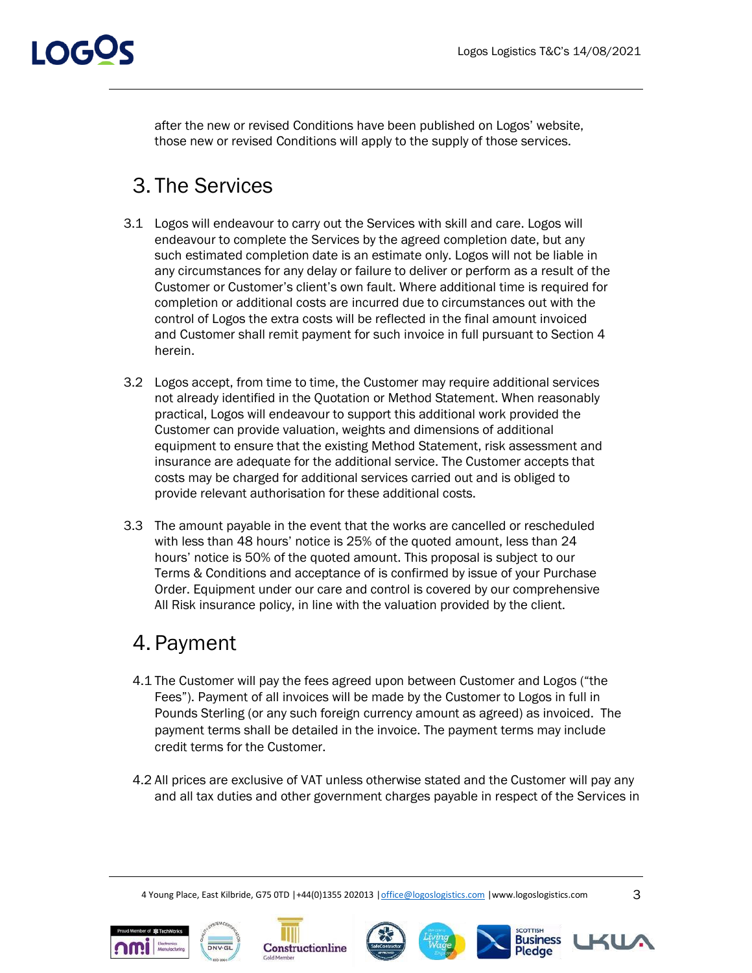

after the new or revised Conditions have been published on Logos' website, those new or revised Conditions will apply to the supply of those services.

### 3. The Services

- 3.1 Logos will endeavour to carry out the Services with skill and care. Logos will endeavour to complete the Services by the agreed completion date, but any such estimated completion date is an estimate only. Logos will not be liable in any circumstances for any delay or failure to deliver or perform as a result of the Customer or Customer's client's own fault. Where additional time is required for completion or additional costs are incurred due to circumstances out with the control of Logos the extra costs will be reflected in the final amount invoiced and Customer shall remit payment for such invoice in full pursuant to Section 4 herein.
- 3.2 Logos accept, from time to time, the Customer may require additional services not already identified in the Quotation or Method Statement. When reasonably practical, Logos will endeavour to support this additional work provided the Customer can provide valuation, weights and dimensions of additional equipment to ensure that the existing Method Statement, risk assessment and insurance are adequate for the additional service. The Customer accepts that costs may be charged for additional services carried out and is obliged to provide relevant authorisation for these additional costs.
- 3.3 The amount payable in the event that the works are cancelled or rescheduled with less than 48 hours' notice is 25% of the quoted amount, less than 24 hours' notice is 50% of the quoted amount. This proposal is subject to our Terms & Conditions and acceptance of is confirmed by issue of your Purchase Order. Equipment under our care and control is covered by our comprehensive All Risk insurance policy, in line with the valuation provided by the client.

### 4. Payment

- 4.1 The Customer will pay the fees agreed upon between Customer and Logos ("the Fees"). Payment of all invoices will be made by the Customer to Logos in full in Pounds Sterling (or any such foreign currency amount as agreed) as invoiced. The payment terms shall be detailed in the invoice. The payment terms may include credit terms for the Customer.
- 4.2 All prices are exclusive of VAT unless otherwise stated and the Customer will pay any and all tax duties and other government charges payable in respect of the Services in













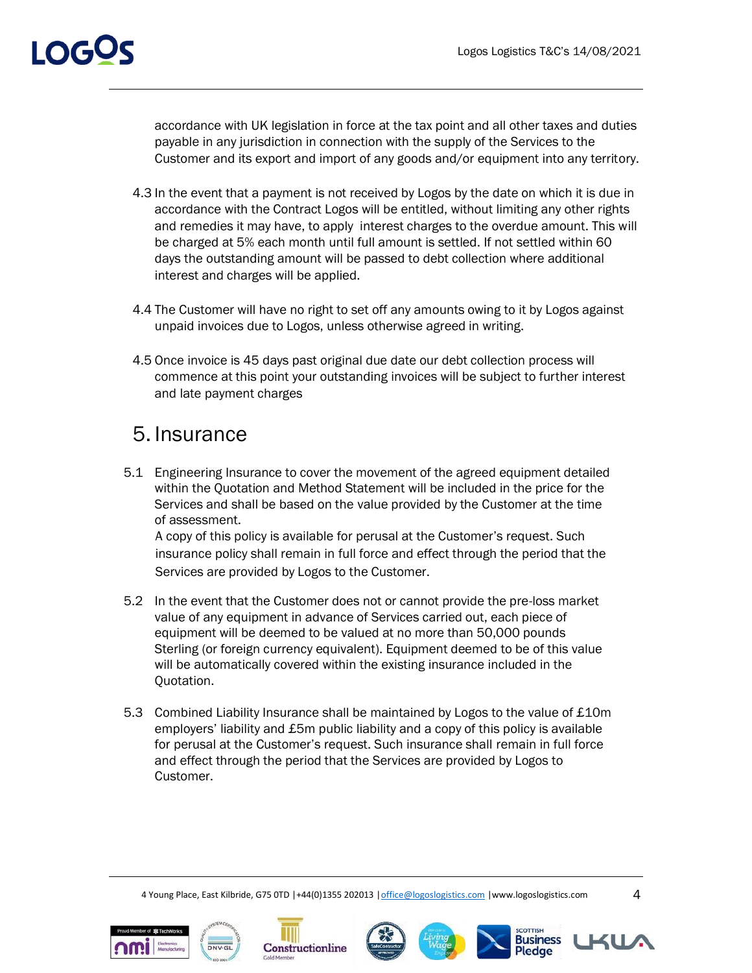# I OGS

accordance with UK legislation in force at the tax point and all other taxes and duties payable in any jurisdiction in connection with the supply of the Services to the Customer and its export and import of any goods and/or equipment into any territory.

- 4.3 In the event that a payment is not received by Logos by the date on which it is due in accordance with the Contract Logos will be entitled, without limiting any other rights and remedies it may have, to apply interest charges to the overdue amount. This will be charged at 5% each month until full amount is settled. If not settled within 60 days the outstanding amount will be passed to debt collection where additional interest and charges will be applied.
- 4.4 The Customer will have no right to set off any amounts owing to it by Logos against unpaid invoices due to Logos, unless otherwise agreed in writing.
- 4.5 Once invoice is 45 days past original due date our debt collection process will commence at this point your outstanding invoices will be subject to further interest and late payment charges

### 5. Insurance

5.1 Engineering Insurance to cover the movement of the agreed equipment detailed within the Quotation and Method Statement will be included in the price for the Services and shall be based on the value provided by the Customer at the time of assessment.

A copy of this policy is available for perusal at the Customer's request. Such insurance policy shall remain in full force and effect through the period that the Services are provided by Logos to the Customer.

- 5.2 In the event that the Customer does not or cannot provide the pre-loss market value of any equipment in advance of Services carried out, each piece of equipment will be deemed to be valued at no more than 50,000 pounds Sterling (or foreign currency equivalent). Equipment deemed to be of this value will be automatically covered within the existing insurance included in the Quotation.
- 5.3 Combined Liability Insurance shall be maintained by Logos to the value of £10m employers' liability and £5m public liability and a copy of this policy is available for perusal at the Customer's request. Such insurance shall remain in full force and effect through the period that the Services are provided by Logos to Customer.

4 Young Place, East Kilbride, G75 0TD |+44(0)1355 202013 |office@logoslogistics.com |www.logoslogistics.com 4













COTTISH

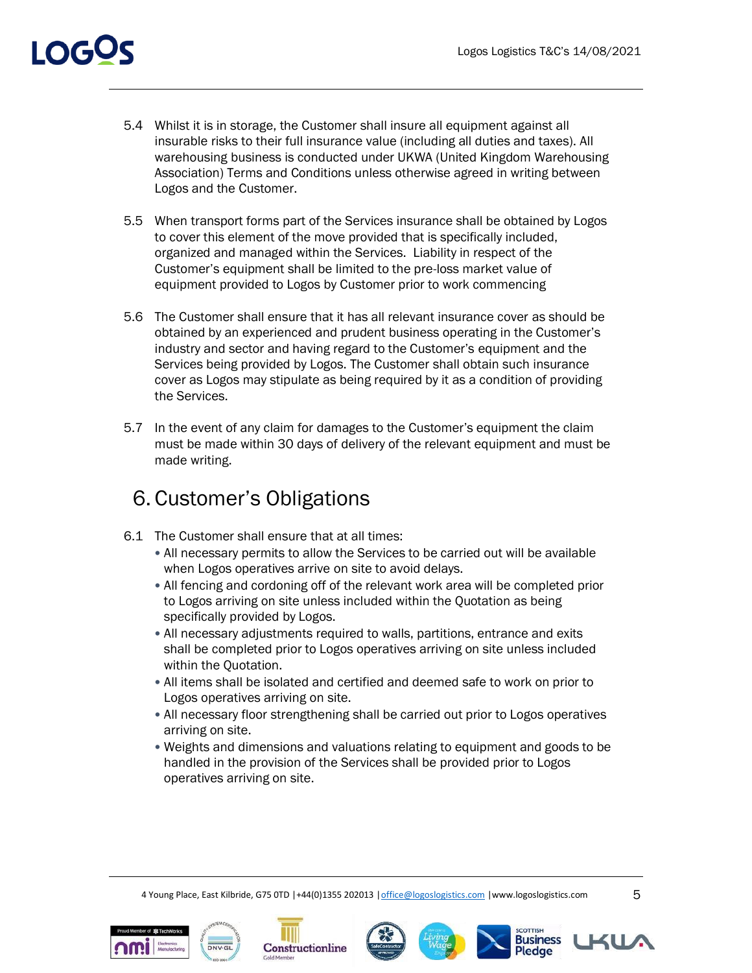### I OGOS

- 5.4 Whilst it is in storage, the Customer shall insure all equipment against all insurable risks to their full insurance value (including all duties and taxes). All warehousing business is conducted under UKWA (United Kingdom Warehousing Association) Terms and Conditions unless otherwise agreed in writing between Logos and the Customer.
- 5.5 When transport forms part of the Services insurance shall be obtained by Logos to cover this element of the move provided that is specifically included, organized and managed within the Services. Liability in respect of the Customer's equipment shall be limited to the pre-loss market value of equipment provided to Logos by Customer prior to work commencing
- 5.6 The Customer shall ensure that it has all relevant insurance cover as should be obtained by an experienced and prudent business operating in the Customer's industry and sector and having regard to the Customer's equipment and the Services being provided by Logos. The Customer shall obtain such insurance cover as Logos may stipulate as being required by it as a condition of providing the Services.
- 5.7 In the event of any claim for damages to the Customer's equipment the claim must be made within 30 days of delivery of the relevant equipment and must be made writing.

### 6. Customer's Obligations

- 6.1 The Customer shall ensure that at all times:
	- All necessary permits to allow the Services to be carried out will be available when Logos operatives arrive on site to avoid delays.
	- All fencing and cordoning off of the relevant work area will be completed prior to Logos arriving on site unless included within the Quotation as being specifically provided by Logos.
	- All necessary adjustments required to walls, partitions, entrance and exits shall be completed prior to Logos operatives arriving on site unless included within the Quotation.
	- All items shall be isolated and certified and deemed safe to work on prior to Logos operatives arriving on site.
	- All necessary floor strengthening shall be carried out prior to Logos operatives arriving on site.
	- Weights and dimensions and valuations relating to equipment and goods to be handled in the provision of the Services shall be provided prior to Logos operatives arriving on site.















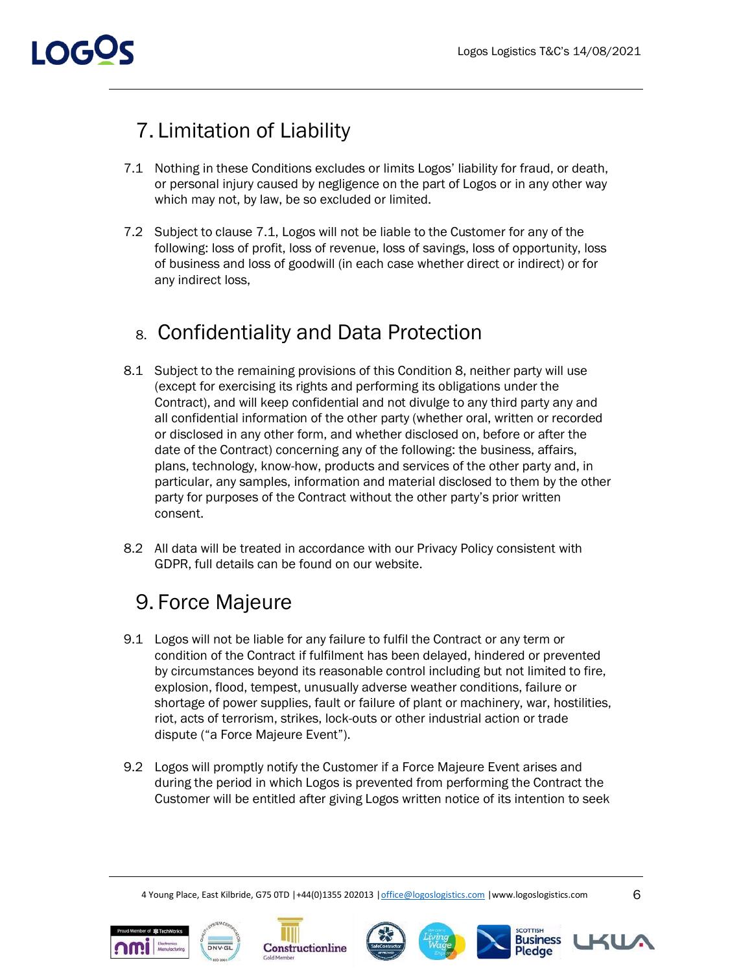### 7. Limitation of Liability

- 7.1 Nothing in these Conditions excludes or limits Logos' liability for fraud, or death, or personal injury caused by negligence on the part of Logos or in any other way which may not, by law, be so excluded or limited.
- 7.2 Subject to clause 7.1, Logos will not be liable to the Customer for any of the following: loss of profit, loss of revenue, loss of savings, loss of opportunity, loss of business and loss of goodwill (in each case whether direct or indirect) or for any indirect loss,

### 8. Confidentiality and Data Protection

- 8.1 Subject to the remaining provisions of this Condition 8, neither party will use (except for exercising its rights and performing its obligations under the Contract), and will keep confidential and not divulge to any third party any and all confidential information of the other party (whether oral, written or recorded or disclosed in any other form, and whether disclosed on, before or after the date of the Contract) concerning any of the following: the business, affairs, plans, technology, know-how, products and services of the other party and, in particular, any samples, information and material disclosed to them by the other party for purposes of the Contract without the other party's prior written consent.
- 8.2 All data will be treated in accordance with our Privacy Policy consistent with GDPR, full details can be found on our website.

### 9. Force Majeure

- 9.1 Logos will not be liable for any failure to fulfil the Contract or any term or condition of the Contract if fulfilment has been delayed, hindered or prevented by circumstances beyond its reasonable control including but not limited to fire, explosion, flood, tempest, unusually adverse weather conditions, failure or shortage of power supplies, fault or failure of plant or machinery, war, hostilities, riot, acts of terrorism, strikes, lock-outs or other industrial action or trade dispute ("a Force Majeure Event").
- 9.2 Logos will promptly notify the Customer if a Force Majeure Event arises and during the period in which Logos is prevented from performing the Contract the Customer will be entitled after giving Logos written notice of its intention to seek











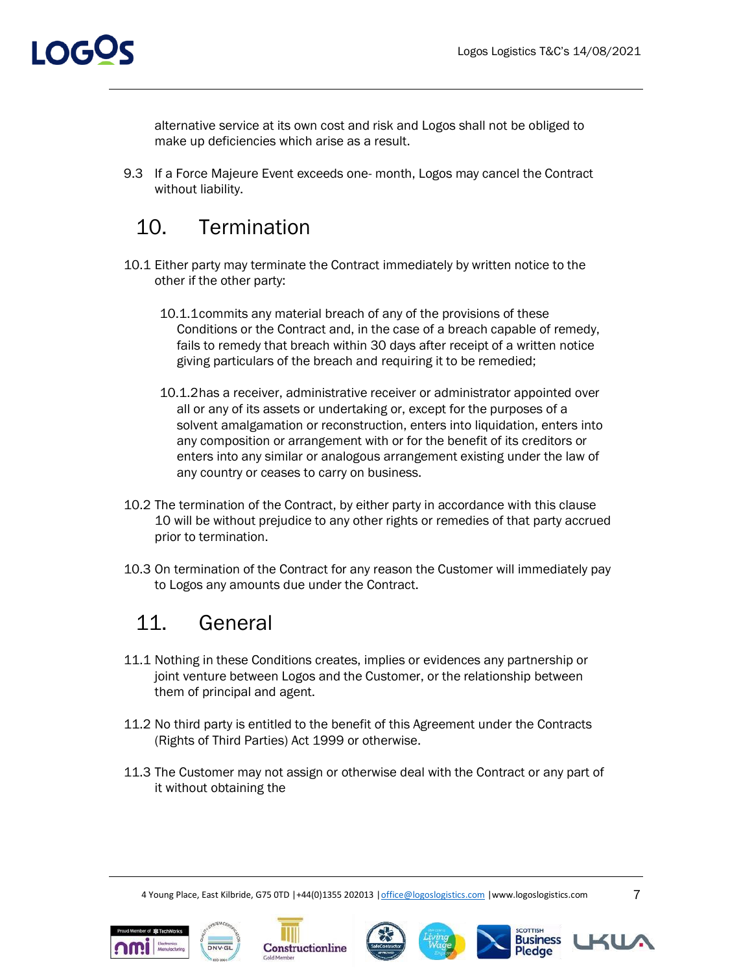

alternative service at its own cost and risk and Logos shall not be obliged to make up deficiencies which arise as a result.

9.3 If a Force Majeure Event exceeds one- month, Logos may cancel the Contract without liability.

### 10. Termination

- 10.1 Either party may terminate the Contract immediately by written notice to the other if the other party:
	- 10.1.1commits any material breach of any of the provisions of these Conditions or the Contract and, in the case of a breach capable of remedy, fails to remedy that breach within 30 days after receipt of a written notice giving particulars of the breach and requiring it to be remedied;
	- 10.1.2has a receiver, administrative receiver or administrator appointed over all or any of its assets or undertaking or, except for the purposes of a solvent amalgamation or reconstruction, enters into liquidation, enters into any composition or arrangement with or for the benefit of its creditors or enters into any similar or analogous arrangement existing under the law of any country or ceases to carry on business.
- 10.2 The termination of the Contract, by either party in accordance with this clause 10 will be without prejudice to any other rights or remedies of that party accrued prior to termination.
- 10.3 On termination of the Contract for any reason the Customer will immediately pay to Logos any amounts due under the Contract.

### 11. General

- 11.1 Nothing in these Conditions creates, implies or evidences any partnership or joint venture between Logos and the Customer, or the relationship between them of principal and agent.
- 11.2 No third party is entitled to the benefit of this Agreement under the Contracts (Rights of Third Parties) Act 1999 or otherwise.
- 11.3 The Customer may not assign or otherwise deal with the Contract or any part of it without obtaining the